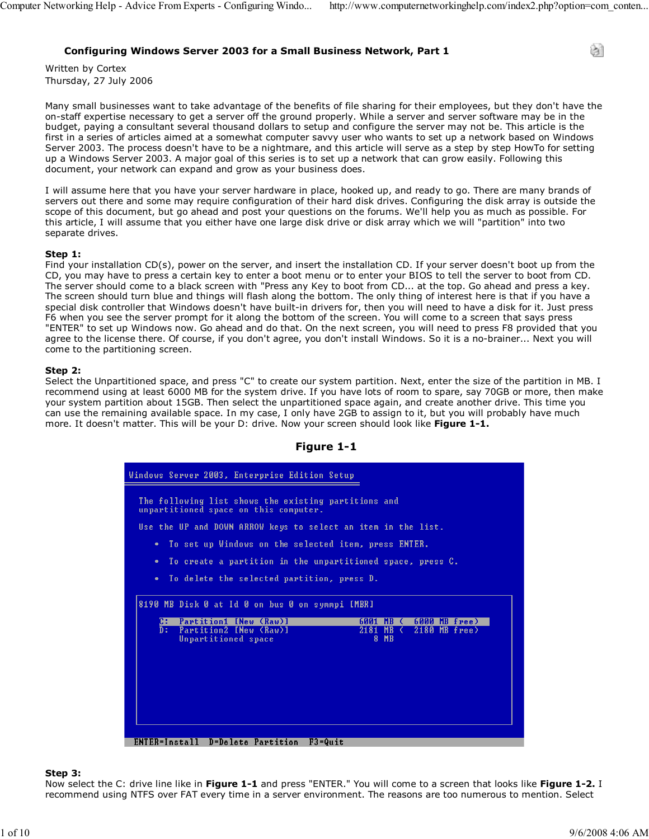े।

# Configuring Windows Server 2003 for a Small Business Network, Part 1

Written by Cortex Thursday, 27 July 2006

Many small businesses want to take advantage of the benefits of file sharing for their employees, but they don't have the on-staff expertise necessary to get a server off the ground properly. While a server and server software may be in the budget, paying a consultant several thousand dollars to setup and configure the server may not be. This article is the first in a series of articles aimed at a somewhat computer savvy user who wants to set up a network based on Windows Server 2003. The process doesn't have to be a nightmare, and this article will serve as a step by step HowTo for setting up a Windows Server 2003. A major goal of this series is to set up a network that can grow easily. Following this document, your network can expand and grow as your business does.

I will assume here that you have your server hardware in place, hooked up, and ready to go. There are many brands of servers out there and some may require configuration of their hard disk drives. Configuring the disk array is outside the scope of this document, but go ahead and post your questions on the forums. We'll help you as much as possible. For this article, I will assume that you either have one large disk drive or disk array which we will "partition" into two separate drives.

#### Step 1:

Find your installation CD(s), power on the server, and insert the installation CD. If your server doesn't boot up from the CD, you may have to press a certain key to enter a boot menu or to enter your BIOS to tell the server to boot from CD. The server should come to a black screen with "Press any Key to boot from CD... at the top. Go ahead and press a key. The screen should turn blue and things will flash along the bottom. The only thing of interest here is that if you have a special disk controller that Windows doesn't have built-in drivers for, then you will need to have a disk for it. Just press F6 when you see the server prompt for it along the bottom of the screen. You will come to a screen that says press "ENTER" to set up Windows now. Go ahead and do that. On the next screen, you will need to press F8 provided that you agree to the license there. Of course, if you don't agree, you don't install Windows. So it is a no-brainer... Next you will come to the partitioning screen.

#### Step 2:

Select the Unpartitioned space, and press "C" to create our system partition. Next, enter the size of the partition in MB. I recommend using at least 6000 MB for the system drive. If you have lots of room to spare, say 70GB or more, then make your system partition about 15GB. Then select the unpartitioned space again, and create another drive. This time you can use the remaining available space. In my case, I only have 2GB to assign to it, but you will probably have much more. It doesn't matter. This will be your D: drive. Now your screen should look like Figure 1-1.



# Figure 1-1

#### Step 3:

Now select the C: drive line like in Figure 1-1 and press "ENTER." You will come to a screen that looks like Figure 1-2. I recommend using NTFS over FAT every time in a server environment. The reasons are too numerous to mention. Select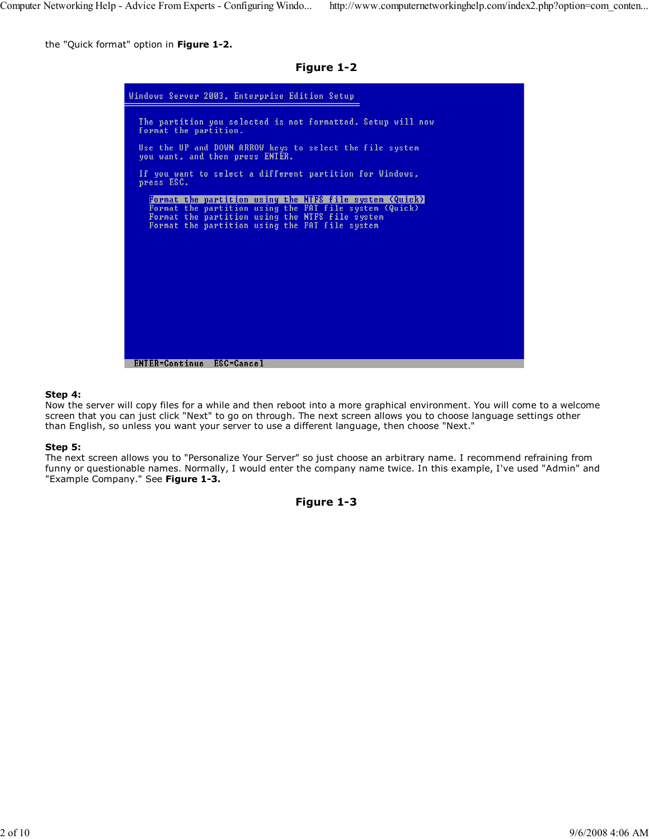the "Quick format" option in Figure 1-2.

Figure 1-2

| Windows Server 2003, Enterprise Edition Setup                                                             |
|-----------------------------------------------------------------------------------------------------------|
| The partition you selected is not formatted. Setup will now<br>format the partition.                      |
| Use the UP and DOWN ARROW keys to select the file system<br>you want, and then press ENTER.               |
| If you want to select a different partition for Windows,<br>press ESC.                                    |
| Format the partition using the NTFS file system (Quick)                                                   |
| Format the partition using the FAT file system (Quick)<br>Format the partition using the NTFS file system |
| Format the partition using the FAT file system                                                            |
|                                                                                                           |
|                                                                                                           |
|                                                                                                           |
|                                                                                                           |
|                                                                                                           |
|                                                                                                           |
|                                                                                                           |
|                                                                                                           |
|                                                                                                           |
|                                                                                                           |
|                                                                                                           |
|                                                                                                           |
| <b>ENTER=Continue</b><br>ESC=Cancel                                                                       |

#### Step 4:

Now the server will copy files for a while and then reboot into a more graphical environment. You will come to a welcome screen that you can just click "Next" to go on through. The next screen allows you to choose language settings other than English, so unless you want your server to use a different language, then choose "Next."

#### Step 5:

The next screen allows you to "Personalize Your Server" so just choose an arbitrary name. I recommend refraining from funny or questionable names. Normally, I would enter the company name twice. In this example, I've used "Admin" and "Example Company." See Figure 1-3.

```
Figure 1-3
```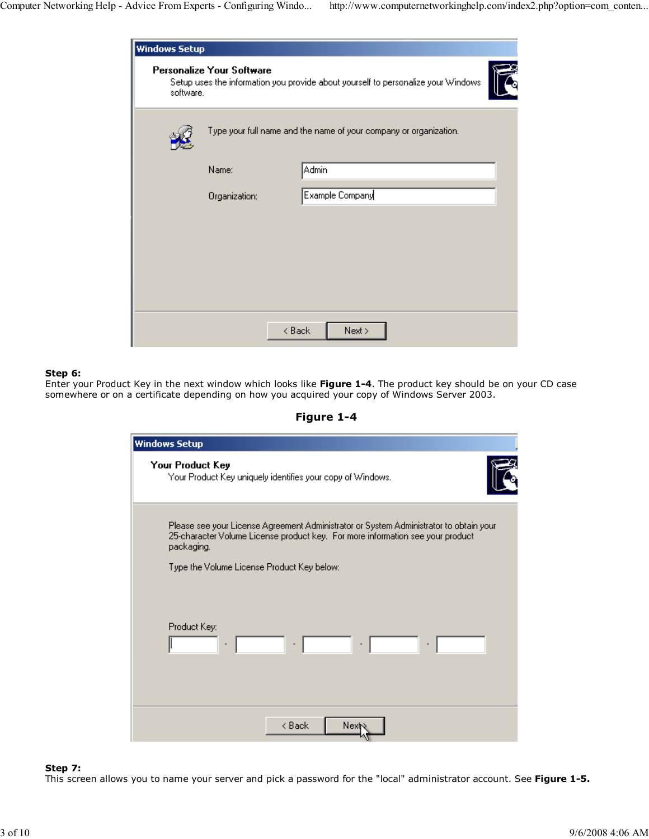| <b>Windows Setup</b> |                                  |                                                                                   |  |
|----------------------|----------------------------------|-----------------------------------------------------------------------------------|--|
| software.            | <b>Personalize Your Software</b> | Setup uses the information you provide about yourself to personalize your Windows |  |
|                      |                                  | Type your full name and the name of your company or organization.                 |  |
|                      | Name:                            | Admin                                                                             |  |
|                      | Organization:                    | Example Company                                                                   |  |
|                      |                                  |                                                                                   |  |
|                      |                                  |                                                                                   |  |
|                      |                                  |                                                                                   |  |
|                      |                                  |                                                                                   |  |
|                      |                                  |                                                                                   |  |
|                      | < Back                           | Next >                                                                            |  |
|                      |                                  |                                                                                   |  |

## Step 6:

Enter your Product Key in the next window which looks like Figure 1-4. The product key should be on your CD case somewhere or on a certificate depending on how you acquired your copy of Windows Server 2003.

Figure 1-4

| Your Product Key<br>Your Product Key uniquely identifies your copy of Windows.                                                                                                         |
|----------------------------------------------------------------------------------------------------------------------------------------------------------------------------------------|
|                                                                                                                                                                                        |
| Please see your License Agreement Administrator or System Administrator to obtain your<br>25-character Volume License product key. For more information see your product<br>packaging. |
| Type the Volume License Product Key below:                                                                                                                                             |
| Product Key:<br>$\sim$ 10 $^{-1}$<br>$\ \cdot\ $                                                                                                                                       |
| < Back<br>Next                                                                                                                                                                         |

# Step 7:

This screen allows you to name your server and pick a password for the "local" administrator account. See Figure 1-5.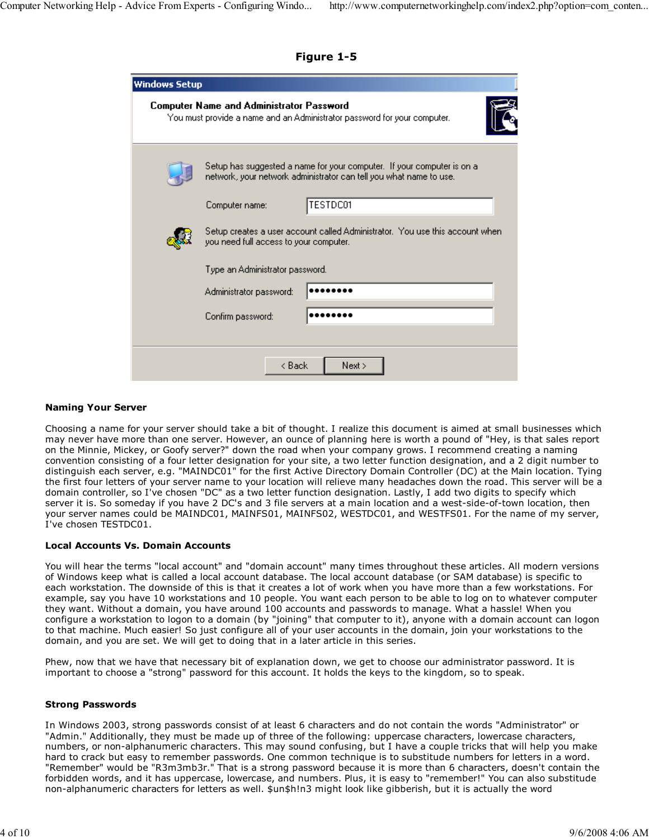Figure 1-5

| <b>Windows Setup</b>            |                                                 |                                                                                                                                              |
|---------------------------------|-------------------------------------------------|----------------------------------------------------------------------------------------------------------------------------------------------|
|                                 | <b>Computer Name and Administrator Password</b> | You must provide a name and an Administrator password for your computer.                                                                     |
|                                 |                                                 | Setup has suggested a name for your computer. If your computer is on a<br>network, your network administrator can tell you what name to use. |
|                                 | Computer name:                                  | <b>TESTDC01</b>                                                                                                                              |
|                                 | you need full access to your computer.          | Setup creates a user account called Administrator. You use this account when I                                                               |
| Type an Administrator password. |                                                 |                                                                                                                                              |
|                                 | Administrator password:                         |                                                                                                                                              |
|                                 | Confirm password:                               |                                                                                                                                              |
|                                 |                                                 |                                                                                                                                              |
|                                 | < Back                                          | Next >                                                                                                                                       |

## Naming Your Server

Choosing a name for your server should take a bit of thought. I realize this document is aimed at small businesses which may never have more than one server. However, an ounce of planning here is worth a pound of "Hey, is that sales report on the Minnie, Mickey, or Goofy server?" down the road when your company grows. I recommend creating a naming convention consisting of a four letter designation for your site, a two letter function designation, and a 2 digit number to distinguish each server, e.g. "MAINDC01" for the first Active Directory Domain Controller (DC) at the Main location. Tying the first four letters of your server name to your location will relieve many headaches down the road. This server will be a domain controller, so I've chosen "DC" as a two letter function designation. Lastly, I add two digits to specify which server it is. So someday if you have 2 DC's and 3 file servers at a main location and a west-side-of-town location, then your server names could be MAINDC01, MAINFS01, MAINFS02, WESTDC01, and WESTFS01. For the name of my server, I've chosen TESTDC01.

#### Local Accounts Vs. Domain Accounts

You will hear the terms "local account" and "domain account" many times throughout these articles. All modern versions of Windows keep what is called a local account database. The local account database (or SAM database) is specific to each workstation. The downside of this is that it creates a lot of work when you have more than a few workstations. For example, say you have 10 workstations and 10 people. You want each person to be able to log on to whatever computer they want. Without a domain, you have around 100 accounts and passwords to manage. What a hassle! When you configure a workstation to logon to a domain (by "joining" that computer to it), anyone with a domain account can logon to that machine. Much easier! So just configure all of your user accounts in the domain, join your workstations to the domain, and you are set. We will get to doing that in a later article in this series.

Phew, now that we have that necessary bit of explanation down, we get to choose our administrator password. It is important to choose a "strong" password for this account. It holds the keys to the kingdom, so to speak.

#### Strong Passwords

In Windows 2003, strong passwords consist of at least 6 characters and do not contain the words "Administrator" or "Admin." Additionally, they must be made up of three of the following: uppercase characters, lowercase characters, numbers, or non-alphanumeric characters. This may sound confusing, but I have a couple tricks that will help you make hard to crack but easy to remember passwords. One common technique is to substitude numbers for letters in a word. "Remember" would be "R3m3mb3r." That is a strong password because it is more than 6 characters, doesn't contain the forbidden words, and it has uppercase, lowercase, and numbers. Plus, it is easy to "remember!" You can also substitude non-alphanumeric characters for letters as well. \$un\$h!n3 might look like gibberish, but it is actually the word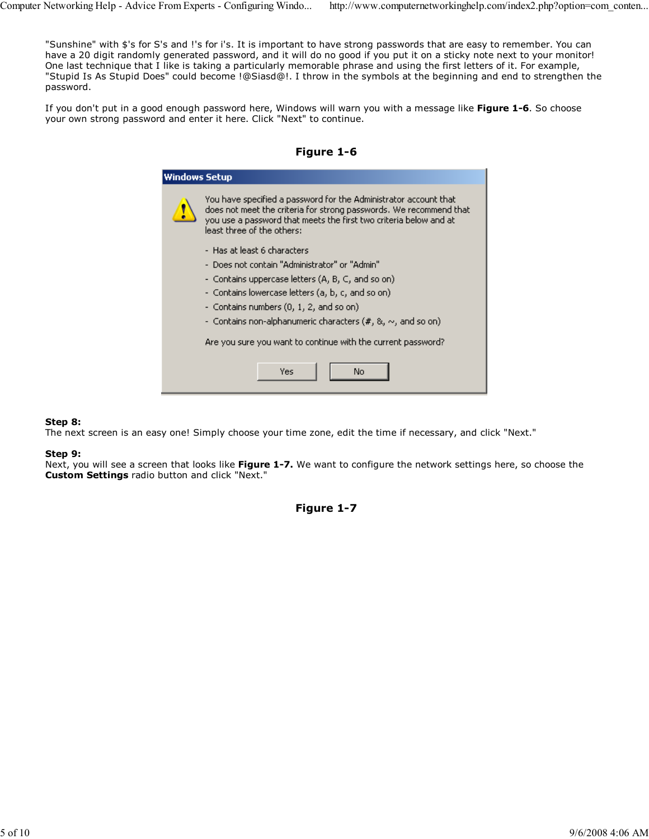"Sunshine" with \$'s for S's and !'s for i's. It is important to have strong passwords that are easy to remember. You can have a 20 digit randomly generated password, and it will do no good if you put it on a sticky note next to your monitor! One last technique that I like is taking a particularly memorable phrase and using the first letters of it. For example, "Stupid Is As Stupid Does" could become !@Siasd@!. I throw in the symbols at the beginning and end to strengthen the password.

If you don't put in a good enough password here, Windows will warn you with a message like Figure 1-6. So choose your own strong password and enter it here. Click "Next" to continue.



| Windows Setup                                                |                                                                                                                                                                                                                                           |  |  |
|--------------------------------------------------------------|-------------------------------------------------------------------------------------------------------------------------------------------------------------------------------------------------------------------------------------------|--|--|
| I                                                            | You have specified a password for the Administrator account that<br>does not meet the criteria for strong passwords. We recommend that<br>you use a password that meets the first two criteria below and at<br>least three of the others: |  |  |
|                                                              | - Has at least 6 characters                                                                                                                                                                                                               |  |  |
|                                                              | - Does not contain "Administrator" or "Admin"                                                                                                                                                                                             |  |  |
|                                                              | - Contains uppercase letters (A, B, C, and so on)                                                                                                                                                                                         |  |  |
|                                                              | - Contains lowercase letters (a, b, c, and so on)                                                                                                                                                                                         |  |  |
|                                                              | - Contains numbers (0, 1, 2, and so on)                                                                                                                                                                                                   |  |  |
|                                                              | - Contains non-alphanumeric characters (#, &, $\sim$ , and so on)                                                                                                                                                                         |  |  |
| Are you sure you want to continue with the current password? |                                                                                                                                                                                                                                           |  |  |
|                                                              | Yes<br>No                                                                                                                                                                                                                                 |  |  |

### Step 8:

The next screen is an easy one! Simply choose your time zone, edit the time if necessary, and click "Next."

#### Step 9:

Next, you will see a screen that looks like Figure 1-7. We want to configure the network settings here, so choose the Custom Settings radio button and click "Next."

Figure 1-7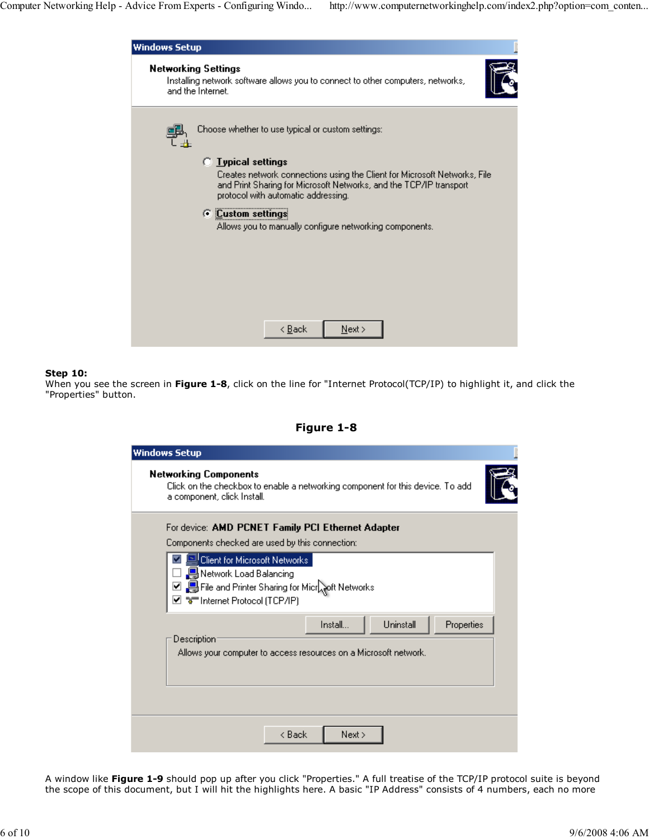

#### Step 10:

When you see the screen in Figure 1-8, click on the line for "Internet Protocol(TCP/IP) to highlight it, and click the "Properties" button.

# Figure 1-8

| <b>Windows Setup</b>                                                                                                                                                      |
|---------------------------------------------------------------------------------------------------------------------------------------------------------------------------|
| <b>Networking Components</b><br>Click on the checkbox to enable a networking component for this device. To add<br>a component, click Install.                             |
| For device: AMD PCNET Family PCI Ethernet Adapter<br>Components checked are used by this connection:                                                                      |
| <sup>1</sup> Client for Microsoft Networks<br><b>B</b> Network Load Balancing<br>□ Selfile and Printer Sharing for Microsoft Networks<br>⊠ आनी internet Protocol (TCP/IP) |
| Uninstall<br>Install<br>Properties<br>Description:<br>Allows your computer to access resources on a Microsoft network.                                                    |
|                                                                                                                                                                           |
| < Back<br>Next >                                                                                                                                                          |

A window like Figure 1-9 should pop up after you click "Properties." A full treatise of the TCP/IP protocol suite is beyond the scope of this document, but I will hit the highlights here. A basic "IP Address" consists of 4 numbers, each no more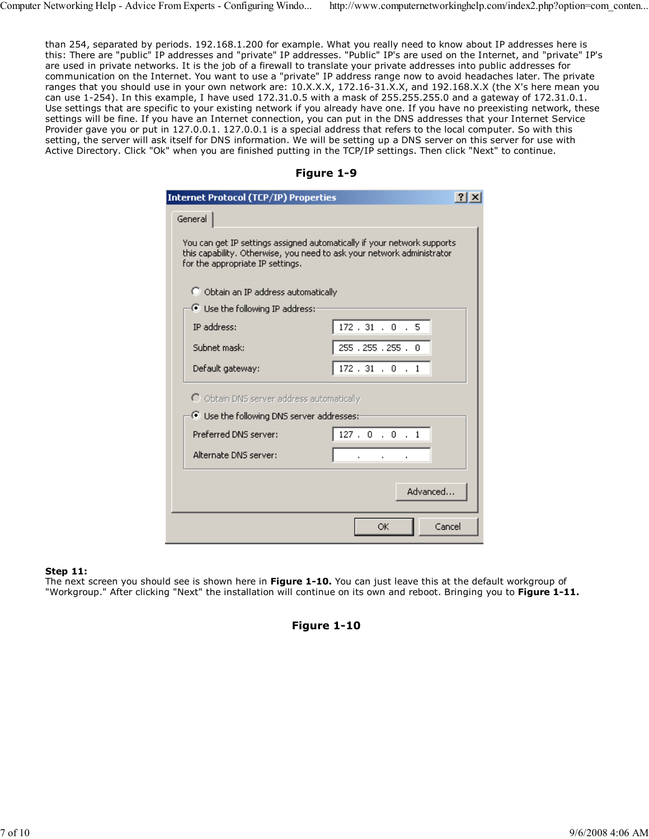than 254, separated by periods. 192.168.1.200 for example. What you really need to know about IP addresses here is this: There are "public" IP addresses and "private" IP addresses. "Public" IP's are used on the Internet, and "private" IP's are used in private networks. It is the job of a firewall to translate your private addresses into public addresses for communication on the Internet. You want to use a "private" IP address range now to avoid headaches later. The private ranges that you should use in your own network are: 10.X.X.X, 172.16-31.X.X, and 192.168.X.X (the X's here mean you can use 1-254). In this example, I have used 172.31.0.5 with a mask of 255.255.255.0 and a gateway of 172.31.0.1. Use settings that are specific to your existing network if you already have one. If you have no preexisting network, these settings will be fine. If you have an Internet connection, you can put in the DNS addresses that your Internet Service Provider gave you or put in 127.0.0.1. 127.0.0.1 is a special address that refers to the local computer. So with this setting, the server will ask itself for DNS information. We will be setting up a DNS server on this server for use with Active Directory. Click "Ok" when you are finished putting in the TCP/IP settings. Then click "Next" to continue.

| Figure 1-9 |  |
|------------|--|
|------------|--|

| <b>Internet Protocol (TCP/IP) Properties</b><br> 2                                                                                                                                    |                        |  |  |
|---------------------------------------------------------------------------------------------------------------------------------------------------------------------------------------|------------------------|--|--|
| General                                                                                                                                                                               |                        |  |  |
| You can get IP settings assigned automatically if your network supports<br>this capability. Otherwise, you need to ask your network administrator<br>for the appropriate IP settings. |                        |  |  |
| O Obtain an IP address automatically                                                                                                                                                  |                        |  |  |
| ⊙ Use the following IP address:                                                                                                                                                       |                        |  |  |
| IP address:                                                                                                                                                                           | $172$ , $31$ , $0$ , 5 |  |  |
| Subnet mask:                                                                                                                                                                          | 255, 255, 255, 0       |  |  |
| Default gateway:                                                                                                                                                                      | 172.31.0.1             |  |  |
| O Obtain DNS server address automatically                                                                                                                                             |                        |  |  |
| <sup>6</sup> Use the following DNS server addresses:-                                                                                                                                 |                        |  |  |
| Preferred DNS server:                                                                                                                                                                 | 127.0.0.1              |  |  |
| Alternate DNS server:                                                                                                                                                                 |                        |  |  |
| Advanced                                                                                                                                                                              |                        |  |  |
|                                                                                                                                                                                       | Cancel<br>OK.          |  |  |

# Step 11:

The next screen you should see is shown here in Figure 1-10. You can just leave this at the default workgroup of "Workgroup." After clicking "Next" the installation will continue on its own and reboot. Bringing you to Figure 1-11.

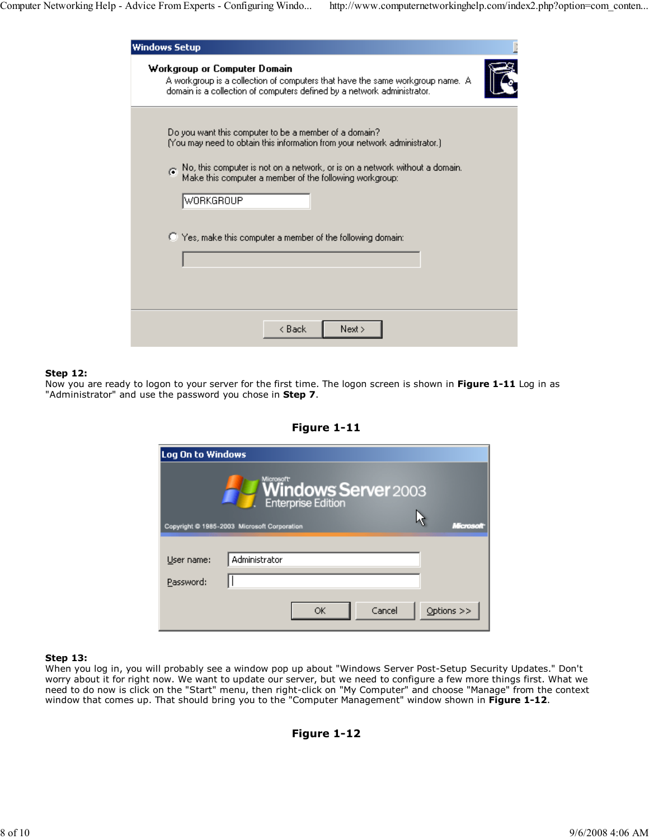| <b>Windows Setup</b>                                                                                                                                                                                                                                                                               |  |
|----------------------------------------------------------------------------------------------------------------------------------------------------------------------------------------------------------------------------------------------------------------------------------------------------|--|
| Workgroup or Computer Domain<br>A workgroup is a collection of computers that have the same workgroup name. A<br>domain is a collection of computers defined by a network administrator.                                                                                                           |  |
| Do you want this computer to be a member of a domain?<br>(You may need to obtain this information from your network administrator.).<br>No, this computer is not on a network, or is on a network without a domain.<br>Make this computer a member of the following workgroup:<br><b>WORKGROUP</b> |  |
| C Yes, make this computer a member of the following domain:                                                                                                                                                                                                                                        |  |
| < Back<br>Next >                                                                                                                                                                                                                                                                                   |  |

## Step 12:

Now you are ready to logon to your server for the first time. The logon screen is shown in Figure 1-11 Log in as "Administrator" and use the password you chose in Step 7.

| Log On to Windows |                                                                            |
|-------------------|----------------------------------------------------------------------------|
|                   | Microsoft <sup>.</sup><br><b>Windows Server</b> 2003<br>Enterprise Edition |
|                   | Copyright @ 1985-2003 Microsoft Corporation<br><b>MARTING</b>              |
| User name:        | Administrator                                                              |
| Password:         |                                                                            |
|                   | Cancel<br>Options $>>$<br>OK                                               |

Figure 1-11

#### Step 13:

When you log in, you will probably see a window pop up about "Windows Server Post-Setup Security Updates." Don't worry about it for right now. We want to update our server, but we need to configure a few more things first. What we need to do now is click on the "Start" menu, then right-click on "My Computer" and choose "Manage" from the context window that comes up. That should bring you to the "Computer Management" window shown in Figure 1-12.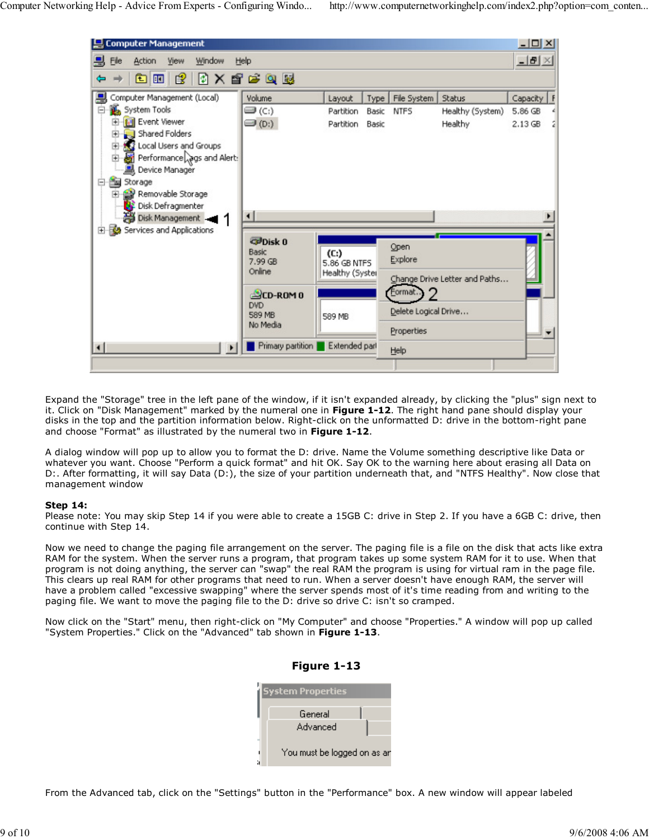

Expand the "Storage" tree in the left pane of the window, if it isn't expanded already, by clicking the "plus" sign next to it. Click on "Disk Management" marked by the numeral one in Figure 1-12. The right hand pane should display your disks in the top and the partition information below. Right-click on the unformatted D: drive in the bottom-right pane and choose "Format" as illustrated by the numeral two in Figure 1-12.

A dialog window will pop up to allow you to format the D: drive. Name the Volume something descriptive like Data or whatever you want. Choose "Perform a quick format" and hit OK. Say OK to the warning here about erasing all Data on D:. After formatting, it will say Data (D:), the size of your partition underneath that, and "NTFS Healthy". Now close that management window

#### Step 14:

Please note: You may skip Step 14 if you were able to create a 15GB C: drive in Step 2. If you have a 6GB C: drive, then continue with Step 14.

Now we need to change the paging file arrangement on the server. The paging file is a file on the disk that acts like extra RAM for the system. When the server runs a program, that program takes up some system RAM for it to use. When that program is not doing anything, the server can "swap" the real RAM the program is using for virtual ram in the page file. This clears up real RAM for other programs that need to run. When a server doesn't have enough RAM, the server will have a problem called "excessive swapping" where the server spends most of it's time reading from and writing to the paging file. We want to move the paging file to the D: drive so drive C: isn't so cramped.

Now click on the "Start" menu, then right-click on "My Computer" and choose "Properties." A window will pop up called "System Properties." Click on the "Advanced" tab shown in Figure 1-13.

| System Properties           |
|-----------------------------|
| General                     |
| Advanced                    |
|                             |
| You must be logged on as an |

Figure 1-13

From the Advanced tab, click on the "Settings" button in the "Performance" box. A new window will appear labeled